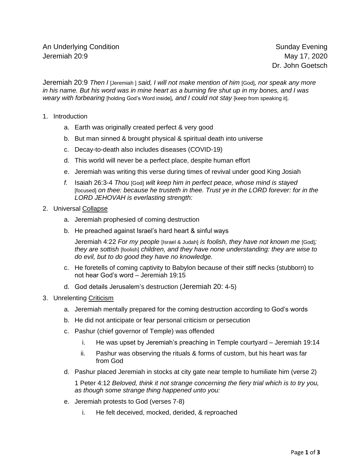Dr. John Goetsch

Jeremiah 20:9 *Then I* [Jeremiah ] *said, I will not make mention of him* [God]*, nor speak any more in his name. But his word was in mine heart as a burning fire shut up in my bones, and I was weary with forbearing* [holding God's Word inside]*, and I could not stay* [keep from speaking it]*.*

- 1. Introduction
	- a. Earth was originally created perfect & very good
	- b. But man sinned & brought physical & spiritual death into universe
	- c. Decay-to-death also includes diseases (COVID-19)
	- d. This world will never be a perfect place, despite human effort
	- e. Jeremiah was writing this verse during times of revival under good King Josiah
	- *f.* Isaiah 26:3-4 *Thou* [God] *wilt keep him in perfect peace, whose mind is stayed* [focused] *on thee: because he trusteth in thee. Trust ye in the LORD forever: for in the LORD JEHOVAH is everlasting strength:*
- 2. Universal Collapse
	- a. Jeremiah prophesied of coming destruction
	- b. He preached against Israel's hard heart & sinful ways

Jeremiah 4:22 *For my people* [Israel & Judah] *is foolish, they have not known me* [God]*; they are sottish* [foolish] *children, and they have none understanding: they are wise to do evil, but to do good they have no knowledge.*

- c. He foretells of coming captivity to Babylon because of their stiff necks (stubborn) to not hear God's word – Jeremiah 19:15
- d. God details Jerusalem's destruction (Jeremiah 20: 4-5)
- 3. Unrelenting Criticism
	- a. Jeremiah mentally prepared for the coming destruction according to God's words
	- b. He did not anticipate or fear personal criticism or persecution
	- c. Pashur (chief governor of Temple) was offended
		- i. He was upset by Jeremiah's preaching in Temple courtyard Jeremiah 19:14
		- ii. Pashur was observing the rituals & forms of custom, but his heart was far from God
	- d. Pashur placed Jeremiah in stocks at city gate near temple to humiliate him (verse 2)

1 Peter 4:12 *Beloved, think it not strange concerning the fiery trial which is to try you, as though some strange thing happened unto you:*

- e. Jeremiah protests to God (verses 7-8)
	- i. He felt deceived, mocked, derided, & reproached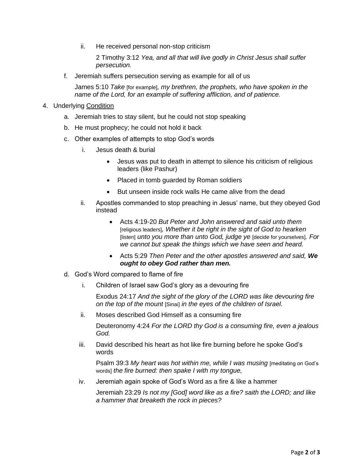ii. He received personal non-stop criticism

2 Timothy 3:12 *Yea, and all that will live godly in Christ Jesus shall suffer persecution.*

f. Jeremiah suffers persecution serving as example for all of us

James 5:10 *Take* [for example]*, my brethren, the prophets, who have spoken in the name of the Lord, for an example of suffering affliction, and of patience.*

- 4. Underlying Condition
	- a. Jeremiah tries to stay silent, but he could not stop speaking
	- b. He must prophecy; he could not hold it back
	- c. Other examples of attempts to stop God's words
		- i. Jesus death & burial
			- Jesus was put to death in attempt to silence his criticism of religious leaders (like Pashur)
			- Placed in tomb guarded by Roman soldiers
			- But unseen inside rock walls He came alive from the dead
		- ii. Apostles commanded to stop preaching in Jesus' name, but they obeyed God instead
			- Acts 4:19-20 *But Peter and John answered and said unto them* [religious leaders]*, Whether it be right in the sight of God to hearken*  [listen] *unto you more than unto God, judge ye* [decide for yourselves]*. For we cannot but speak the things which we have seen and heard.*
			- Acts 5:29 *Then Peter and the other apostles answered and said, We ought to obey God rather than men.*
	- d. God's Word compared to flame of fire
		- i. Children of Israel saw God's glory as a devouring fire

Exodus 24:17 *And the sight of the glory of the LORD was like devouring fire on the top of the mount* [Sinai] *in the eyes of the children of Israel.*

ii. Moses described God Himself as a consuming fire

Deuteronomy 4:24 *For the LORD thy God is a consuming fire, even a jealous God.*

iii. David described his heart as hot like fire burning before he spoke God's words

Psalm 39:3 *My heart was hot within me, while I was musing* [meditating on God's words] *the fire burned: then spake I with my tongue,*

iv. Jeremiah again spoke of God's Word as a fire & like a hammer

Jeremiah 23:29 *Is not my [God] word like as a fire? saith the LORD; and like a hammer that breaketh the rock in pieces?*